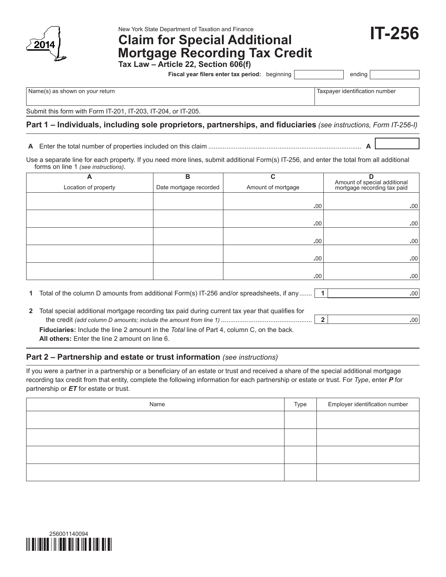

New York State Department of Taxation and Finance

# **Claim for Special Additional Mortgage Recording Tax Credit**

**Tax Law – Article 22, Section 606(f)**

**Fiscal year filers enter tax period:** beginning | ending

**IT-256**

Name(s) as shown on your return Taxpayer identification number  $\vert$ Taxpayer identification number

Submit this form with Form IT-201, IT-203, IT-204, or IT-205.

# **Part 1 – Individuals, including sole proprietors, partnerships, and fiduciaries** *(see instructions, Form IT-256-I)*

**A** Enter the total number of properties included on this claim .................................................................................... **A**

Use a separate line for each property. If you need more lines, submit additional Form(s) IT‑256, and enter the total from all additional forms on line 1 *(see instructions)*.

| A                    | в                      | С                  | D                                                           |
|----------------------|------------------------|--------------------|-------------------------------------------------------------|
| Location of property | Date mortgage recorded | Amount of mortgage | Amount of special additional<br>mortgage recording tax paid |
|                      |                        |                    |                                                             |
|                      |                        | .00.               | .00.                                                        |
|                      |                        |                    |                                                             |
|                      |                        | .00                | .00.                                                        |
|                      |                        |                    |                                                             |
|                      |                        | .00.               | .00.                                                        |
|                      |                        |                    |                                                             |
|                      |                        | .00.               | .00.                                                        |
|                      |                        |                    |                                                             |
|                      |                        | .00                | .00.                                                        |

**1** Total of the column D amounts from additional Form(s) IT-256 and/or spreadsheets, if any....... **1 .**00

**2** Total special additional mortgage recording tax paid during current tax year that qualifies for the credit *(add column D amounts; include the amount from line 1)* .................................................. **2 .**00 **Fiduciaries:** Include the line 2 amount in the *Total* line of Part 4, column C, on the back.

**All others:** Enter the line 2 amount on line 6.

## **Part 2 – Partnership and estate or trust information** *(see instructions)*

If you were a partner in a partnership or a beneficiary of an estate or trust and received a share of the special additional mortgage recording tax credit from that entity, complete the following information for each partnership or estate or trust. For *Type*, enter *P* for partnership or *ET* for estate or trust.

| Name | Type | Employer identification number |
|------|------|--------------------------------|
|      |      |                                |
|      |      |                                |
|      |      |                                |
|      |      |                                |